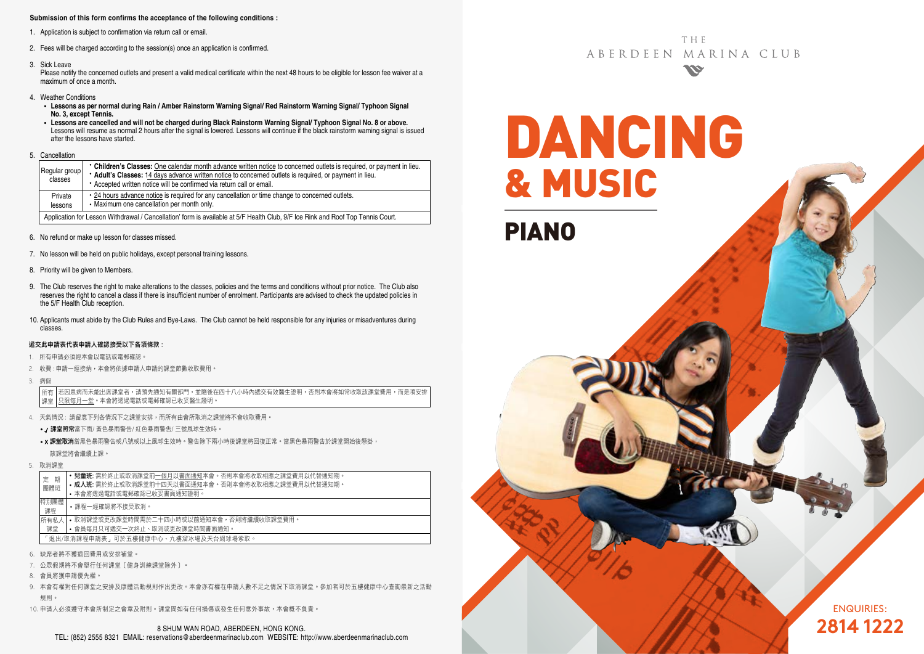#### **Submission of this form confirms the acceptance of the following conditions :**

- 1. Application is subject to confirmation via return call or email.
- 2. Fees will be charged according to the session(s) once an application is confirmed.
- 3. Sick Leave

Please notify the concerned outlets and present a valid medical certificate within the next 48 hours to be eligible for lesson fee waiver at a maximum of once a month.

- 4. Weather Conditions
	- **Lessons as per normal during Rain / Amber Rainstorm Warning Signal/ Red Rainstorm Warning Signal/ Typhoon Signal No. 3, except Tennis.**
	- **Lessons are cancelled and will not be charged during Black Rainstorm Warning Signal/ Typhoon Signal No. 8 or above.** Lessons will resume as normal 2 hours after the signal is lowered. Lessons will continue if the black rainstorm warning signal is issued after the lessons have started.
- 5. Cancellation

| Regular group<br>classes                                                                                                        | • Children's Classes: One calendar month advance written notice to concerned outlets is required, or payment in lieu.<br>* Adult's Classes: 14 days advance written notice to concerned outlets is required, or payment in lieu.<br>• Accepted written notice will be confirmed via return call or email. |  |  |  |  |  |
|---------------------------------------------------------------------------------------------------------------------------------|-----------------------------------------------------------------------------------------------------------------------------------------------------------------------------------------------------------------------------------------------------------------------------------------------------------|--|--|--|--|--|
| Private<br>lessons                                                                                                              | . 24 hours advance notice is required for any cancellation or time change to concerned outlets.<br>• Maximum one cancellation per month only.                                                                                                                                                             |  |  |  |  |  |
| Application for Lesson Withdrawal / Cancellation' form is available at 5/F Health Club, 9/F Ice Rink and Roof Top Tennis Court. |                                                                                                                                                                                                                                                                                                           |  |  |  |  |  |

- 6. No refund or make up lesson for classes missed.
- 7. No lesson will be held on public holidays, except personal training lessons.
- 8. Priority will be given to Members.
- 9. The Club reserves the right to make alterations to the classes, policies and the terms and conditions without prior notice. The Club also reserves the right to cancel a class if there is insufficient number of enrolment. Participants are advised to check the updated policies in the 5/F Health Club reception.
- 10. Applicants must abide by the Club Rules and Bye-Laws. The Club cannot be held responsible for any injuries or misadventures during classes.

#### 遞交此申請表代表申請人確認接受以下各項條款 :

- 1. 所有申請必須經本會以電話或電郵確認。
- 2. 收費 : 申請一經接納,本會將依據申請人申請的課堂節數收取費用。
- 3. 病假

若因患病而未能出席課堂者,請預先通知有關部門,並隨後在四十八小時內遞交有效醫生證明,否則本會將如常收取該課堂費用,而是項安排 只限每月一堂。本會將透過電話或電郵確認已收妥醫生證明。 所有 課堂

- 4. 天氣情況 : 請留意下列各情況下之課堂安排,而所有由會所取消之課堂將不會收取費用。
	- / 課堂照常當下雨/ 黃色暴雨警告/ 紅色暴雨警告/ 三號風球生效時。
	- x 課堂取消當黑色暴雨警告或八號或以上風球生效時。警告除下兩小時後課堂將回復正常。當黑色暴雨警告於課堂開始後懸掛, 該課堂將會繼續上課。
- 5. 取消課堂

| 期<br>定                              | • 兒童班: 需於終止或取消課堂前一個月以書面通知本會。否則本會將收取相應之課堂費用以代替通知期。 |  |  |  |  |
|-------------------------------------|---------------------------------------------------|--|--|--|--|
| 團體班                                 | • 成人班: 需於終止或取消課堂前十四天以書面通知本會。否則本會將收取相應之課堂費用以代替通知期。 |  |  |  |  |
|                                     | • 本會將诱過電話或電郵確認已收妥書面通知證明。                          |  |  |  |  |
| 特別團體<br>課程                          | •課程一經確認將不接受取消。                                    |  |  |  |  |
| 所有私人                                | • 取消課堂或更改課堂時間需於二十四小時或以前捅知本會,否則將繼續收取課堂費用。          |  |  |  |  |
| 課堂                                  | • 會員每月只可遞交一次終止、取消或更改課堂時間書面通知。                     |  |  |  |  |
| 「狠出/取消課程申請表,可於五樓健康中心、九樓溜冰場及天台網球場索取。 |                                                   |  |  |  |  |
| 缺席者將不獲狠同費用或安排補堂。                    |                                                   |  |  |  |  |

- 7. 公眾假期將不會舉行任何課堂﹝健身訓練課堂除外﹞。
- 8. 會員將獲申請優先權。
- 9. 本會有權對任何課堂之安排及康體活動規則作出更改。本會亦有權在申請人數不足之情況下取消課堂。參加者可於五樓健康中心查詢最新之活動 規則。
- 10. 申請人必須遵守本會所制定之會章及附則。課堂間如有任何損傷或發生任何意外事故,本會概不負責。

**THF** ABERDEEN MARINA CLUB **SSE** 

DANCING & MUSIC PIANO

> ENQUIRIES: **2814 1222**